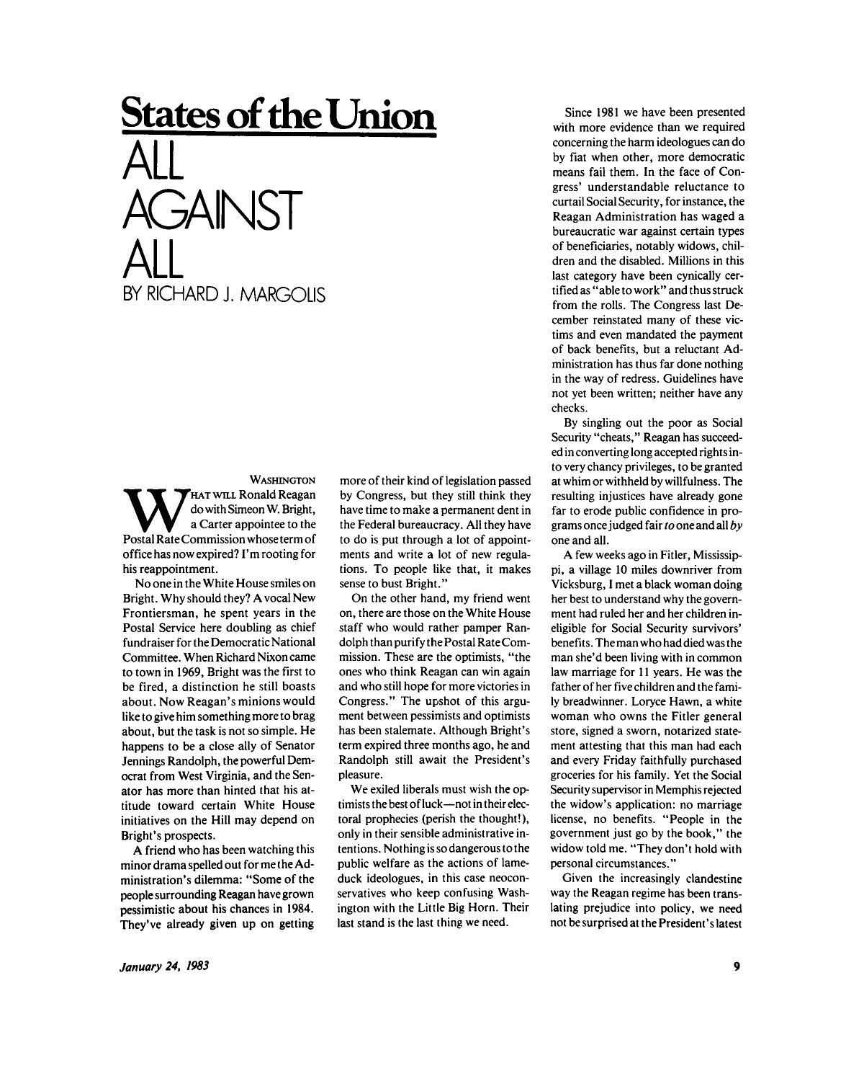## **States of the Union**  ALL **AGAINST** ALL BY RICHARD J. MARGOLIS

WASHINGTON<br>do with Simeon W. Bright,<br>a Carter appointee to the<br>Postal Rate Commission whose term of HAT WILL Ronald Reagan do with Simeon W. Bright, a Carter appointee to the office has now expired? I'm rooting for his reappointment.

No one in the White House smiles on Bright. Why should they? A vocal New Frontiersman, he spent years in the Postal Service here doubling as chief fundraiser for the Democratic National Committee. When Richard Nixon came to town in 1969, Bright was the first to be fired, a distinction he still boasts about. Now Reagan's minions would like to give him something more to brag about, but the task is not so simple. He happens to be a close ally of Senator Jennings Randolph, the powerful Democrat from West Virginia, and the Senator has more than hinted that his attitude toward certain White House initiatives on the Hill may depend on Bright's prospects.

A friend who has been watching this minor drama spelled out for me the Administration's dilemma: "Some of the people surrounding Reagan have grown pessimistic about his chances in 1984. They've already given up on getting more of their kind of legislation passed by Congress, but they still think they have time to make a permanent dent in the Federal bureaucracy. All they have to do is put through a lot of appointments and write a lot of new regulations. To people like that, it makes sense to bust Bright."

On the other hand, my friend went on, there are those on the White House staff who would rather pamper Randolph than purify the Postal Rate Commission. These are the optimists, "the ones who think Reagan can win again and who still hope for more victories in Congress." The upshot of this argument between pessimists and optimists has been stalemate. Although Bright's term expired three months ago, he and Randolph still await the President's pleasure.

We exiled liberals must wish the optimists the best of luck—not in their electoral prophecies (perish the thought!), only in their sensible administrative intentions. Nothing is so dangerous to the public welfare as the actions of lameduck ideologues, in this case neoconservatives who keep confusing Washington with the Little Big Horn. Their last stand is the last thing we need.

Since 1981 we have been presented with more evidence than we required concerning the harm ideologues can do by fiat when other, more democratic means fail them. In the face of Congress' understandable reluctance to curtail Social Security, for instance, the Reagan Administration has waged a bureaucratic war against certain types of beneficiaries, notably widows, children and the disabled. Millions in this last category have been cynically certified as "able to work" and thus struck from the rolls. The Congress last December reinstated many of these victims and even mandated the payment of back benefits, but a reluctant Administration has thus far done nothing in the way of redress. Guidelines have not yet been written; neither have any checks.

By singling out the poor as Social Security "cheats," Reagan has succeeded in converting long accepted rights into very chancy privileges, to be granted at whim or withheld by willfulness. The resulting injustices have already gone far to erode public confidence in programs once judged fair *to* one and all *by*  one and all.

A few weeks ago in Fitler, Mississippi, a village 10 miles downriver from Vicksburg, I met a black woman doing her best to understand why the government had ruled her and her children ineligible for Social Security survivors' benefits. The man who had died was the man she'd been living with in common law marriage for 11 years. He was the father of her five children and the family breadwinner. Loryce Hawn, a white woman who owns the Fitler general store, signed a sworn, notarized statement attesting that this man had each and every Friday faithfully purchased groceries for his family. Yet the Social Security supervisor in Memphis rejected the widow's application: no marriage license, no benefits. "People in the government just go by the book," the widow told me. "They don't hold with personal circumstances."

Given the increasingly clandestine way the Reagan regime has been translating prejudice into policy, we need not be surprised at the President's latest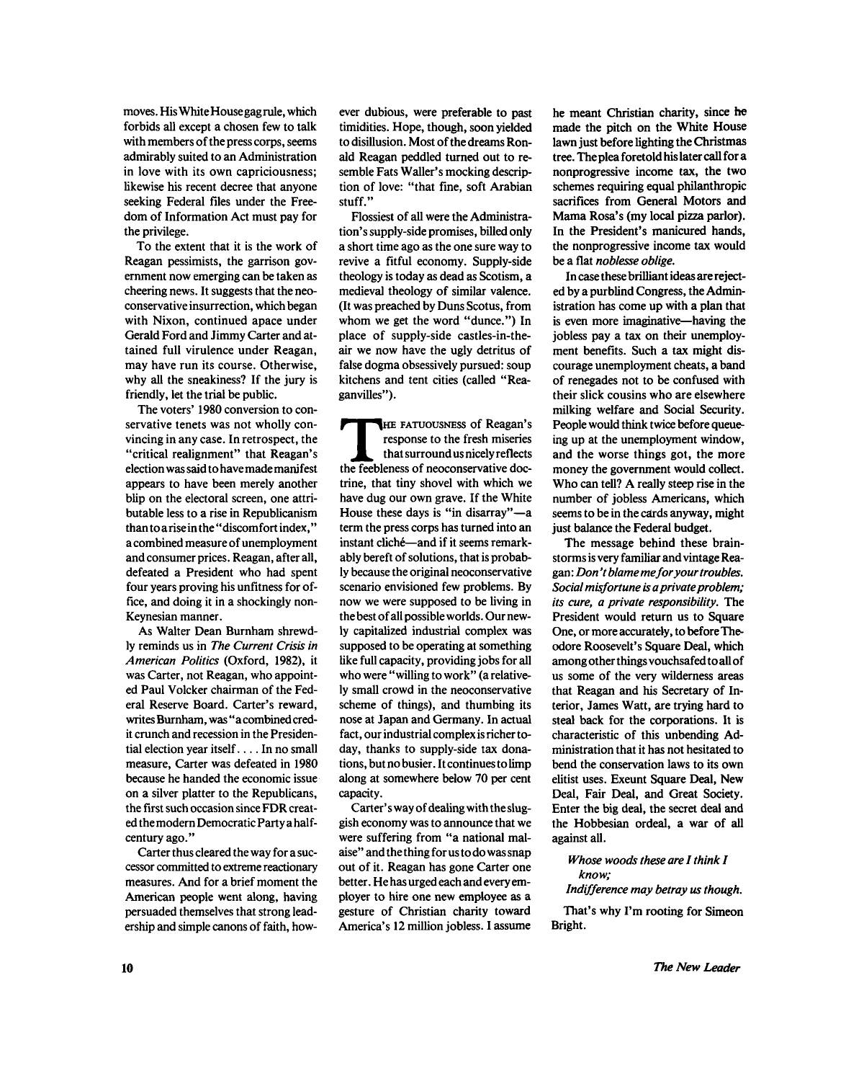moves. His White House gag rule, which forbids all except a chosen few to talk with members of the press corps, seems admirably suited to an Administration in love with its own capriciousness; likewise his recent decree that anyone seeking Federal files under the Freedom of Information Act must pay for the privilege.

To the extent that it is the work of Reagan pessimists, the garrison government now emerging can be taken as cheering news. It suggests that the neoconservative insurrection, which began with Nixon, continued apace under Gerald Ford and Jimmy Carter and attained full virulence under Reagan, may have run its course. Otherwise, why all the sneakiness? If the jury is friendly, let the trial be public.

The voters' 1980 conversion to conservative tenets was not wholly convincing in any case. In retrospect, the "critical realignment" that Reagan's election was said to have made manifest appears to have been merely another blip on the electoral screen, one attributable less to a rise in Republicanism than to a rise in the " discomfort index," a combined measure of unemployment and consumer prices. Reagan, after all, defeated a President who had spent four years proving his unfitness for office, and doing it in a shockingly non-Keynesian manner.

As Walter Dean Burnham shrewdly reminds us in *The Current Crisis in American Politics* (Oxford, 1982), it was Carter, not Reagan, who appointed Paul Volcker chairman of the Federal Reserve Board. Carter's reward, writes Burnham, was " a combined credit crunch and recession in the Presidential election year itself.... In no small measure, Carter was defeated in 1980 because he handed the economic issue on a silver platter to the Republicans, the first such occasion since FDR created the modern Democratic Party a halfcentury ago."

Carter thus cleared the way for a successor committed to extreme reactionary measures. And for a brief moment the American people went along, having persuaded themselves that strong leadership and simple canons of faith, however dubious, were preferable to past timidities. Hope, though, soon yielded to disillusion. Most of the dreams Ronald Reagan peddled turned out to resemble Fats Waller's mocking description of love: "that fine, soft Arabian stuff."

Flossiest of all were the Administration's supply-side promises, billed only a short time ago as the one sure way to revive a fitful economy. Supply-side theology is today as dead as Scotism, a medieval theology of similar valence. (It was preached by Duns Scotus, from whom we get the word "dunce.") In place of supply-side castles-in-theair we now have the ugly detritus of false dogma obsessively pursued: soup kitchens and tent cities (called " Reagan villes").

THE FATUOUSNESS of Reagan's<br>
response to the fresh miseries<br>
that surround us nicely reflects<br>
the feebleness of neoconservative doc-HE FATUOUSNESS of Reagan's response to the fresh miseries that surround us nicely reflects trine, that tiny shovel with which we have dug our own grave. If the White House these days is "in disarray"—a term the press corps has turned into an instant cliche—and if it seems remarkably bereft of solutions, that is probably because the original neoconservative scenario envisioned few problems. By now we were supposed to be living in the best of all possible worlds. Our newly capitalized industrial complex was supposed to be operating at something like full capacity, providing jobs for all who were "willing to work" (a relatively small crowd in the neoconservative scheme of things), and thumbing its nose at Japan and Germany. In actual fact, our industrial complex is richer today, thanks to supply-side tax donations, but no busier. It continues to limp along at somewhere below 70 per cent aiviig at 3<br>........

Carter's way of dealing with the sluggish economy was to announce that we were suffering from "a national malaise" and the thing for us to do was snap out of it. Reagan has gone Carter one better. He has urged each and every employer to hire one new employee as a gesture of Christian charity toward America's 12 million jobless. I assume

he meant Christian charity, since he made the pitch on the White House lawn just before lighting the Christmas tree. The plea foretold his later call for a nonprogressive income tax, the two schemes requiring equal philanthropic sacrifices from General Motors and Mama Rosa's (my local pizza parlor). In the President's manicured hands, the nonprogressive income tax would be a flat *noblesse oblige.* 

In case these brilliant ideas are rejected by a purblind Congress, the Administration has come up with a plan that is even more imaginative—having the jobless pay a tax on their unemployment benefits. Such a tax might discourage unemployment cheats, a band of renegades not to be confused with their slick cousins who are elsewhere milking welfare and Social Security. People would think twice before queueing up at the unemployment window, and the worse things got, the more money the government would collect. Who can tell? A really steep rise in the number of jobless Americans, which seems to be in the cards anyway, might just balance the Federal budget.

The message behind these brainstorms is very familiar and vintage Reagan : *Don't blame me for your troubles. Social misfortune is a private problem; its cure, a private responsibility.* The President would return us to Square One, or more accurately, to before Theodore Roosevelt's Square Deal, which among other things vouchsafed to all of us some of the very wilderness areas that Reagan and his Secretary of Interior, James Watt, are trying hard to steal back for the corporations. It is characteristic of this unbending Administration that it has not hesitated to bend the conservation laws to its own elitist uses. Exeunt Square Deal, New Deal, Fair Deal, and Great Society. Enter the big deal, the secret deal and the Hobbesian ordeal, a war of all against all.

*Whose woods these are I think I know; Indifference may betray us though.* 

That's why I'm rooting for Simeon Bright.